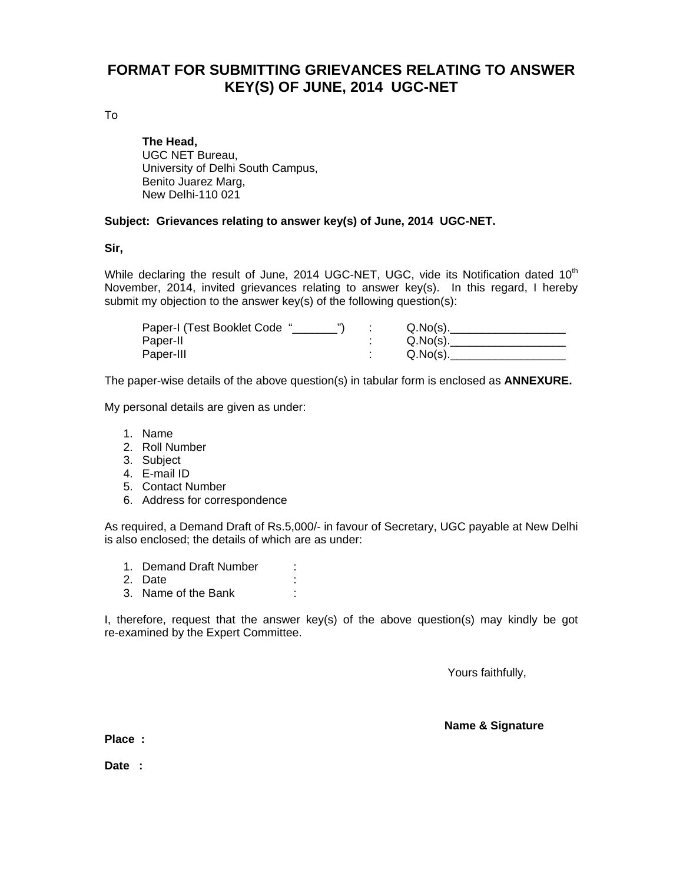# **FORMAT FOR SUBMITTING GRIEVANCES RELATING TO ANSWER KEY(S) OF JUNE, 2014 UGC-NET**

To

 **The Head,**  UGC NET Bureau, University of Delhi South Campus, Benito Juarez Marg, New Delhi-110 021

#### **Subject: Grievances relating to answer key(s) of June, 2014 UGC-NET.**

**Sir,** 

While declaring the result of June,  $2014$  UGC-NET, UGC, vide its Notification dated  $10<sup>th</sup>$ November, 2014, invited grievances relating to answer key(s). In this regard, I hereby submit my objection to the answer key(s) of the following question(s):

| Paper-I (Test Booklet Code " | Q.No(s).    |
|------------------------------|-------------|
| Paper-II                     | $Q.No(s)$ . |
| Paper-III                    | Q.No(s)     |

The paper-wise details of the above question(s) in tabular form is enclosed as **ANNEXURE.** 

My personal details are given as under:

- 1. Name
- 2. Roll Number
- 3. Subject
- 4. E-mail ID
- 5. Contact Number
- 6. Address for correspondence

As required, a Demand Draft of Rs.5,000/- in favour of Secretary, UGC payable at New Delhi is also enclosed; the details of which are as under:

- 1. Demand Draft Number :
- 2. Date :
- 3. Name of the Bank :

I, therefore, request that the answer key(s) of the above question(s) may kindly be got re-examined by the Expert Committee.

Yours faithfully,

**Name & Signature** 

**Place :** 

**Date :**